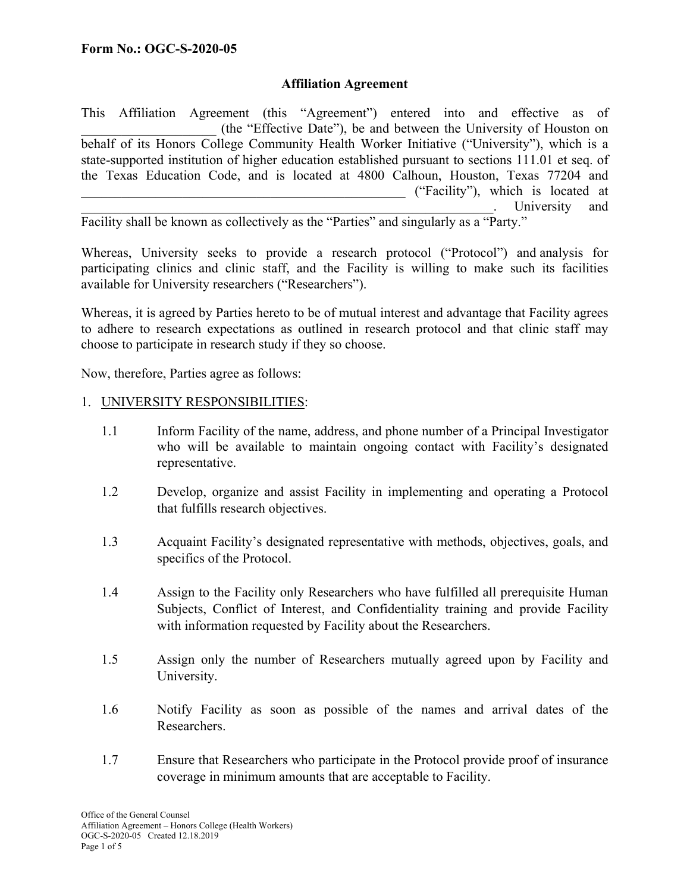## **Affiliation Agreement**

This Affiliation Agreement (this "Agreement") entered into and effective as of \_\_\_\_\_\_\_\_\_\_\_\_\_\_\_\_\_\_\_\_ (the "Effective Date"), be and between the University of Houston on behalf of its Honors College Community Health Worker Initiative ("University"), which is a state-supported institution of higher education established pursuant to sections 111.01 et seq. of the Texas Education Code, and is located at 4800 Calhoun, Houston, Texas 77204 and \_\_\_\_\_\_\_\_\_\_\_\_\_\_\_\_\_\_\_\_\_\_\_\_\_\_\_\_\_\_\_\_\_\_\_\_\_\_\_\_\_\_\_\_\_\_\_\_ ("Facility"), which is located at University and

Facility shall be known as collectively as the "Parties" and singularly as a "Party."

Whereas, University seeks to provide a research protocol ("Protocol") and analysis for participating clinics and clinic staff, and the Facility is willing to make such its facilities available for University researchers ("Researchers").

Whereas, it is agreed by Parties hereto to be of mutual interest and advantage that Facility agrees to adhere to research expectations as outlined in research protocol and that clinic staff may choose to participate in research study if they so choose.

Now, therefore, Parties agree as follows:

# 1. UNIVERSITY RESPONSIBILITIES:

- 1.1 Inform Facility of the name, address, and phone number of a Principal Investigator who will be available to maintain ongoing contact with Facility's designated representative.
- 1.2 Develop, organize and assist Facility in implementing and operating a Protocol that fulfills research objectives.
- 1.3 Acquaint Facility's designated representative with methods, objectives, goals, and specifics of the Protocol.
- 1.4 Assign to the Facility only Researchers who have fulfilled all prerequisite Human Subjects, Conflict of Interest, and Confidentiality training and provide Facility with information requested by Facility about the Researchers.
- 1.5 Assign only the number of Researchers mutually agreed upon by Facility and University.
- 1.6 Notify Facility as soon as possible of the names and arrival dates of the Researchers.
- 1.7 Ensure that Researchers who participate in the Protocol provide proof of insurance coverage in minimum amounts that are acceptable to Facility.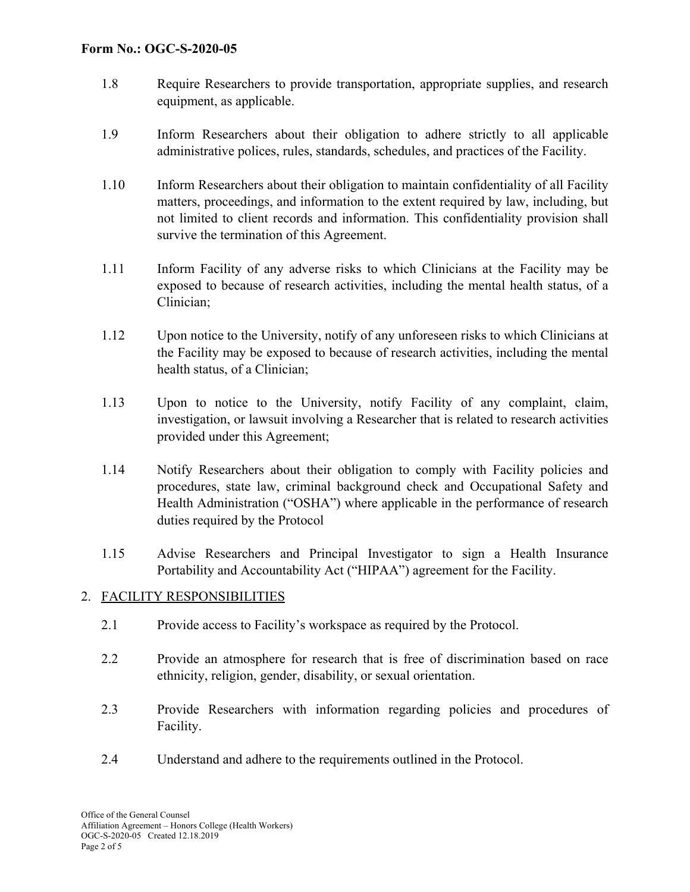### **Form No.: OGC-S-2020-05**

- 1.8 Require Researchers to provide transportation, appropriate supplies, and research equipment, as applicable.
- 1.9 Inform Researchers about their obligation to adhere strictly to all applicable administrative polices, rules, standards, schedules, and practices of the Facility.
- 1.10 Inform Researchers about their obligation to maintain confidentiality of all Facility matters, proceedings, and information to the extent required by law, including, but not limited to client records and information. This confidentiality provision shall survive the termination of this Agreement.
- 1.11 Inform Facility of any adverse risks to which Clinicians at the Facility may be exposed to because of research activities, including the mental health status, of a Clinician;
- 1.12 Upon notice to the University, notify of any unforeseen risks to which Clinicians at the Facility may be exposed to because of research activities, including the mental health status, of a Clinician;
- 1.13 Upon to notice to the University, notify Facility of any complaint, claim, investigation, or lawsuit involving a Researcher that is related to research activities provided under this Agreement;
- 1.14 Notify Researchers about their obligation to comply with Facility policies and procedures, state law, criminal background check and Occupational Safety and Health Administration ("OSHA") where applicable in the performance of research duties required by the Protocol
- 1.15 Advise Researchers and Principal Investigator to sign a Health Insurance Portability and Accountability Act ("HIPAA") agreement for the Facility.

# 2. FACILITY RESPONSIBILITIES

- 2.1 Provide access to Facility's workspace as required by the Protocol.
- 2.2 Provide an atmosphere for research that is free of discrimination based on race ethnicity, religion, gender, disability, or sexual orientation.
- 2.3 Provide Researchers with information regarding policies and procedures of Facility.
- 2.4 Understand and adhere to the requirements outlined in the Protocol.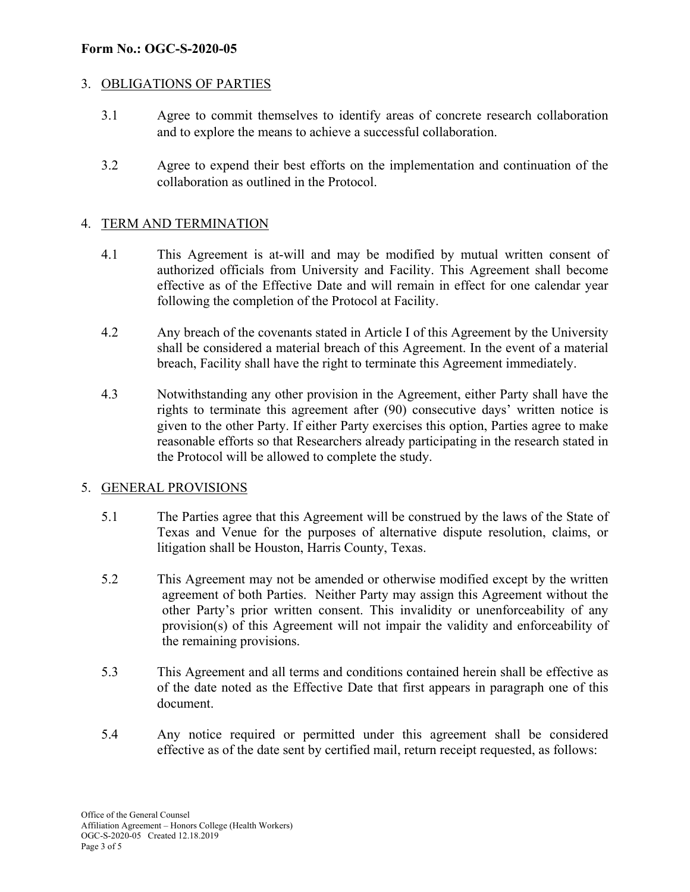### **Form No.: OGC-S-2020-05**

## 3. OBLIGATIONS OF PARTIES

- 3.1 Agree to commit themselves to identify areas of concrete research collaboration and to explore the means to achieve a successful collaboration.
- 3.2 Agree to expend their best efforts on the implementation and continuation of the collaboration as outlined in the Protocol.

## 4. TERM AND TERMINATION

- 4.1 This Agreement is at-will and may be modified by mutual written consent of authorized officials from University and Facility. This Agreement shall become effective as of the Effective Date and will remain in effect for one calendar year following the completion of the Protocol at Facility.
- 4.2 Any breach of the covenants stated in Article I of this Agreement by the University shall be considered a material breach of this Agreement. In the event of a material breach, Facility shall have the right to terminate this Agreement immediately.
- 4.3 Notwithstanding any other provision in the Agreement, either Party shall have the rights to terminate this agreement after (90) consecutive days' written notice is given to the other Party. If either Party exercises this option, Parties agree to make reasonable efforts so that Researchers already participating in the research stated in the Protocol will be allowed to complete the study.

### 5. GENERAL PROVISIONS

- 5.1 The Parties agree that this Agreement will be construed by the laws of the State of Texas and Venue for the purposes of alternative dispute resolution, claims, or litigation shall be Houston, Harris County, Texas.
- 5.2 This Agreement may not be amended or otherwise modified except by the written agreement of both Parties. Neither Party may assign this Agreement without the other Party's prior written consent. This invalidity or unenforceability of any provision(s) of this Agreement will not impair the validity and enforceability of the remaining provisions.
- 5.3 This Agreement and all terms and conditions contained herein shall be effective as of the date noted as the Effective Date that first appears in paragraph one of this document.
- 5.4 Any notice required or permitted under this agreement shall be considered effective as of the date sent by certified mail, return receipt requested, as follows: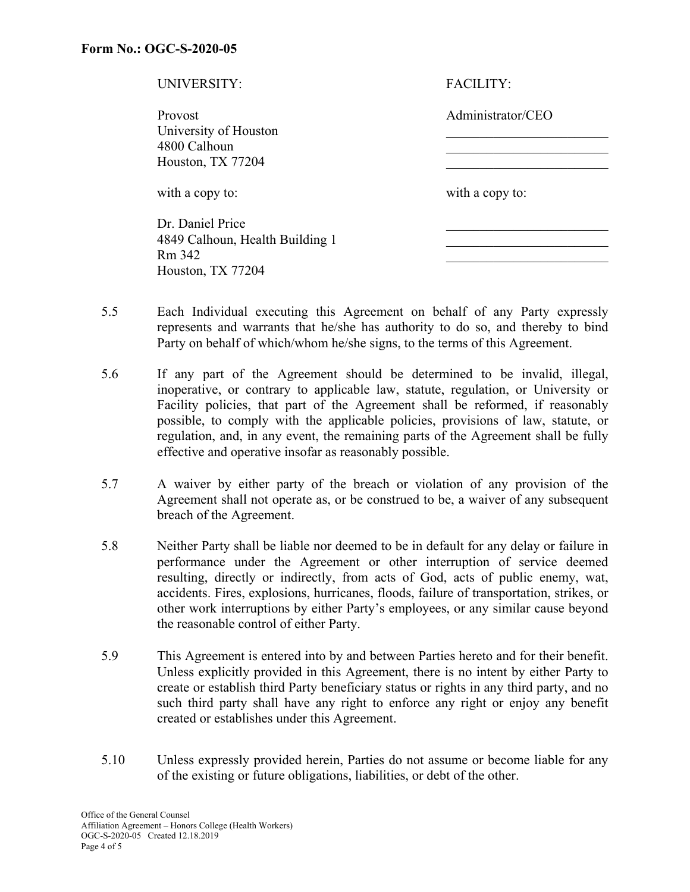| UNIVERSITY:                     | <b>FACILITY:</b>  |  |
|---------------------------------|-------------------|--|
| <b>Provost</b>                  | Administrator/CEO |  |
| University of Houston           |                   |  |
| 4800 Calhoun                    |                   |  |
| Houston, TX 77204               |                   |  |
| with a copy to:                 | with a copy to:   |  |
| Dr. Daniel Price                |                   |  |
| 4849 Calhoun, Health Building 1 |                   |  |
| Rm 342                          |                   |  |
| Houston, TX 77204               |                   |  |

- 5.5 Each Individual executing this Agreement on behalf of any Party expressly represents and warrants that he/she has authority to do so, and thereby to bind Party on behalf of which/whom he/she signs, to the terms of this Agreement.
- 5.6 If any part of the Agreement should be determined to be invalid, illegal, inoperative, or contrary to applicable law, statute, regulation, or University or Facility policies, that part of the Agreement shall be reformed, if reasonably possible, to comply with the applicable policies, provisions of law, statute, or regulation, and, in any event, the remaining parts of the Agreement shall be fully effective and operative insofar as reasonably possible.
- 5.7 A waiver by either party of the breach or violation of any provision of the Agreement shall not operate as, or be construed to be, a waiver of any subsequent breach of the Agreement.
- 5.8 Neither Party shall be liable nor deemed to be in default for any delay or failure in performance under the Agreement or other interruption of service deemed resulting, directly or indirectly, from acts of God, acts of public enemy, wat, accidents. Fires, explosions, hurricanes, floods, failure of transportation, strikes, or other work interruptions by either Party's employees, or any similar cause beyond the reasonable control of either Party.
- 5.9 This Agreement is entered into by and between Parties hereto and for their benefit. Unless explicitly provided in this Agreement, there is no intent by either Party to create or establish third Party beneficiary status or rights in any third party, and no such third party shall have any right to enforce any right or enjoy any benefit created or establishes under this Agreement.
- 5.10 Unless expressly provided herein, Parties do not assume or become liable for any of the existing or future obligations, liabilities, or debt of the other.